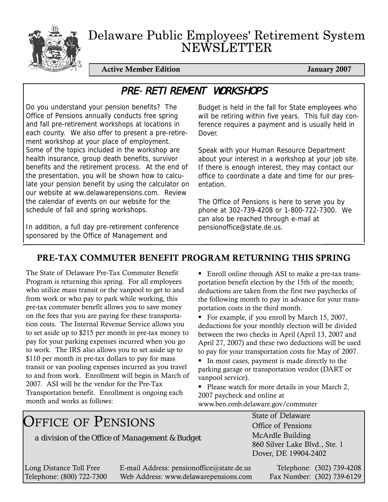

# Delaware Public Employees' Retirement System NEWSLETTER

Active Member Edition **January 2007** 

# PRE-RETIREMENT WORKSHOPS

Do you understand your pension benefits? The Office of Pensions annually conducts free spring and fall pre-retirement workshops at locations in each county. We also offer to present a pre-retirement workshop at your place of employment. Some of the topics included in the workshop are health insurance, group death benefits, survivor benefits and the retirement process. At the end of the presentation, you will be shown how to calculate your pension benefit by using the calculator on our website at ww.delawarepensions.com. Review the calendar of events on our website for the schedule of fall and spring workshops.

In addition, a full day pre-retirement conference sponsored by the Office of Management and

Budget is held in the fall for State employees who will be retiring within five years. This full day conference requires a payment and is usually held in Dover.

Speak with your Human Resource Department about your interest in a workshop at your job site. If there is enough interest, they may contact our office to coordinate a date and time for our presentation.

The Office of Pensions is here to serve you by phone at 302-739-4208 or 1-800-722-7300. We can also be reached through e-mail at pensionoffice@state.de.us.

# PRE-TAX COMMUTER BENEFIT PROGRAM RETURNING THIS SPRING

The State of Delaware Pre-Tax Commuter Benefit Program is returning this spring. For all employees who utilize mass transit or the vanpool to get to and from work or who pay to park while working, this pre-tax commuter benefit allows you to save money on the fees that you are paying for these transportation costs. The Internal Revenue Service allows you to set aside up to \$215 per month in pre-tax money to pay for your parking expenses incurred when you go to work. The IRS also allows you to set aside up to \$110 per month in pre-tax dollars to pay for mass transit or van pooling expenses incurred as you travel to and from work. Enrollment will begin in March of 2007. ASI will be the vendor for the Pre-Tax Transportation benefit. Enrollment is ongoing each month and works as follows:

■ Enroll online through ASI to make a pre-tax transportation benefit election by the 15th of the month; deductions are taken from the first two paychecks of the following month to pay in advance for your transportation costs in the third month.

For example, if you enroll by March 15, 2007, deductions for your monthly election will be divided between the two checks in April (April 13, 2007 and April 27, 2007) and these two deductions will be used to pay for your transportation costs for May of 2007.

In most cases, payment is made directly to the parking garage or transportation vendor (DART or vanpool service).

Please watch for more details in your March 2, 2007 paycheck and online at

www.ben.omb.delaware.gov/commuter

State of Delaware Office of Pensions McArdle Building 860 Silver Lake Blvd., Ste. 1 Dover, DE 19904-2402 OFFICE OF PENSIONS *a division of the Office of Management & Budget*

Long Distance Toll Free E-mail Address: pensionoffice@state.de.us Telephone: (302) 739-4208 Telephone: (800) 722-7300 Web Address: www.delawarepensions.com Fax Number: (302) 739-6129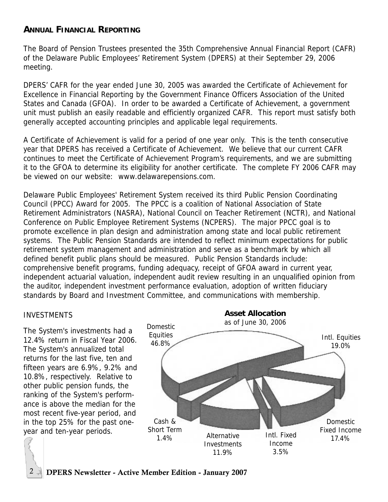## **ANNUAL FINANCIAL REPORTING**

The Board of Pension Trustees presented the 35th Comprehensive Annual Financial Report (CAFR) of the Delaware Public Employees' Retirement System (DPERS) at their September 29, 2006 meeting.

DPERS' CAFR for the year ended June 30, 2005 was awarded the Certificate of Achievement for Excellence in Financial Reporting by the Government Finance Officers Association of the United States and Canada (GFOA). In order to be awarded a Certificate of Achievement, a government unit must publish an easily readable and efficiently organized CAFR. This report must satisfy both generally accepted accounting principles and applicable legal requirements.

A Certificate of Achievement is valid for a period of one year only. This is the tenth consecutive year that DPERS has received a Certificate of Achievement. We believe that our current CAFR continues to meet the Certificate of Achievement Program's requirements, and we are submitting it to the GFOA to determine its eligibility for another certificate. The complete FY 2006 CAFR may be viewed on our website: www.delawarepensions.com.

Delaware Public Employees' Retirement System received its third Public Pension Coordinating Council (PPCC) Award for 2005. The PPCC is a coalition of National Association of State Retirement Administrators (NASRA), National Council on Teacher Retirement (NCTR), and National Conference on Public Employee Retirement Systems (NCPERS). The major PPCC goal is to promote excellence in plan design and administration among state and local public retirement systems. The Public Pension Standards are intended to reflect minimum expectations for public retirement system management and administration and serve as a benchmark by which all defined benefit public plans should be measured. Public Pension Standards include: comprehensive benefit programs, funding adequacy, receipt of GFOA award in current year, independent actuarial valuation, independent audit review resulting in an unqualified opinion from the auditor, independent investment performance evaluation, adoption of written fiduciary standards by Board and Investment Committee, and communications with membership.

#### INVESTMENTS

The System's investments had a 12.4% return in Fiscal Year 2006. The System's annualized total returns for the last five, ten and fifteen years are 6.9%, 9.2% and 10.8%, respectively. Relative to other public pension funds, the ranking of the System's performance is above the median for the most recent five-year period, and in the top 25% for the past oneyear and ten-year periods.



2  $\rightarrow$  DPERS Newsletter - Active Member Edition - January 2007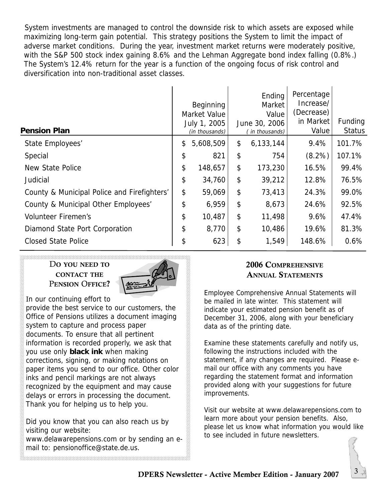System investments are managed to control the downside risk to which assets are exposed while maximizing long-term gain potential. This strategy positions the System to limit the impact of adverse market conditions. During the year, investment market returns were moderately positive, with the S&P 500 stock index gaining 8.6% and the Lehman Aggregate bond index falling (0.8%.) The System's 12.4% return for the year is a function of the ongoing focus of risk control and diversification into non-traditional asset classes.

| <b>Pension Plan</b>                         | Beginning<br>Market Value<br>July 1, 2005<br>(in thousands) | Ending<br>Market<br>Value<br>June 30, 2006<br>(in thousands) | Percentage<br>Increase/<br>(Decrease)<br>in Market<br>Value | Funding<br><b>Status</b> |
|---------------------------------------------|-------------------------------------------------------------|--------------------------------------------------------------|-------------------------------------------------------------|--------------------------|
| State Employees'                            | \$<br>5,608,509                                             | \$<br>6,133,144                                              | 9.4%                                                        | 101.7%                   |
| Special                                     | \$<br>821                                                   | \$<br>754                                                    | $(8.2\%)$                                                   | 107.1%                   |
| New State Police                            | \$<br>148,657                                               | \$<br>173,230                                                | 16.5%                                                       | 99.4%                    |
| Judicial                                    | \$<br>34,760                                                | \$<br>39,212                                                 | 12.8%                                                       | 76.5%                    |
| County & Municipal Police and Firefighters' | \$<br>59,069                                                | \$<br>73,413                                                 | 24.3%                                                       | 99.0%                    |
| County & Municipal Other Employees'         | \$<br>6,959                                                 | \$<br>8,673                                                  | 24.6%                                                       | 92.5%                    |
| <b>Volunteer Firemen's</b>                  | \$<br>10,487                                                | \$<br>11,498                                                 | 9.6%                                                        | 47.4%                    |
| Diamond State Port Corporation              | \$<br>8,770                                                 | \$<br>10,486                                                 | 19.6%                                                       | 81.3%                    |
| <b>Closed State Police</b>                  | \$<br>623                                                   | \$<br>1,549                                                  | 148.6%                                                      | 0.6%                     |
|                                             |                                                             |                                                              |                                                             |                          |

DO YOU NEED TO CONTACT THE PENSION OFFICE?



In our continuing effort to

provide the best service to our customers, the Office of Pensions utilizes a document imaging system to capture and process paper documents. To ensure that all pertinent information is recorded properly, we ask that you use only **black ink** when making corrections, signing, or making notations on paper items you send to our office. Other color inks and pencil markings are not always recognized by the equipment and may cause delays or errors in processing the document. Thank you for helping us to help you.

Did you know that you can also reach us by visiting our website:

www.delawarepensions.com or by sending an email to: pensionoffice@state.de.us.

## 2006 COMPREHENSIVE ANNUAL STATEMENTS

Employee Comprehensive Annual Statements will be mailed in late winter. This statement will indicate your estimated pension benefit as of December 31, 2006, along with your beneficiary data as of the printing date.

Examine these statements carefully and notify us, following the instructions included with the statement, if any changes are required. Please email our office with any comments you have regarding the statement format and information provided along with your suggestions for future improvements.

Visit our website at www.delawarepensions.com to learn more about your pension benefits. Also, please let us know what information you would like to see included in future newsletters.